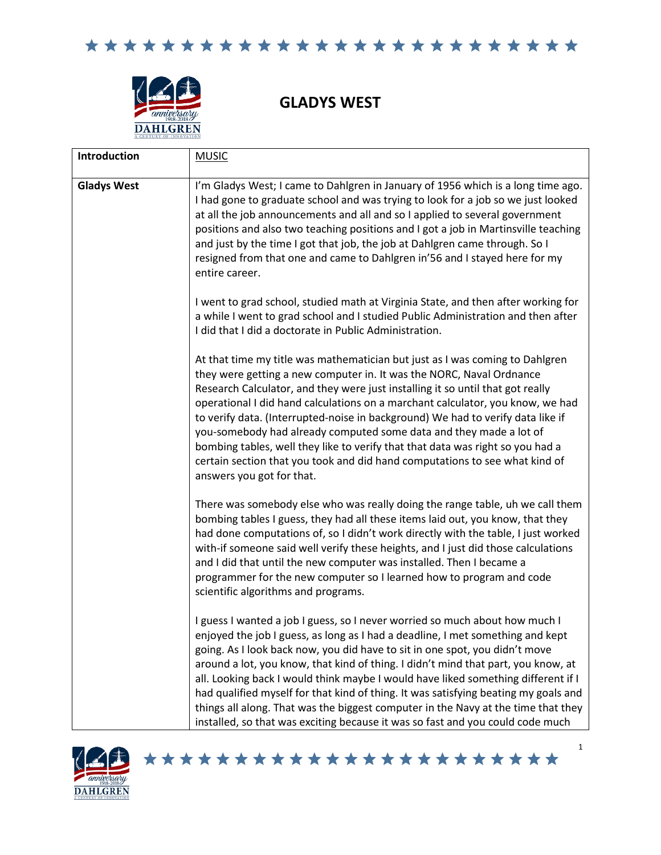

**GLADYS WEST**

| Introduction       | <b>MUSIC</b>                                                                                                                                                                                                                                                                                                                                                                                                                                                                                                                                                                                                                                                                         |
|--------------------|--------------------------------------------------------------------------------------------------------------------------------------------------------------------------------------------------------------------------------------------------------------------------------------------------------------------------------------------------------------------------------------------------------------------------------------------------------------------------------------------------------------------------------------------------------------------------------------------------------------------------------------------------------------------------------------|
| <b>Gladys West</b> | I'm Gladys West; I came to Dahlgren in January of 1956 which is a long time ago.<br>I had gone to graduate school and was trying to look for a job so we just looked<br>at all the job announcements and all and so I applied to several government<br>positions and also two teaching positions and I got a job in Martinsville teaching<br>and just by the time I got that job, the job at Dahlgren came through. So I<br>resigned from that one and came to Dahlgren in'56 and I stayed here for my<br>entire career.                                                                                                                                                             |
|                    | I went to grad school, studied math at Virginia State, and then after working for<br>a while I went to grad school and I studied Public Administration and then after<br>I did that I did a doctorate in Public Administration.                                                                                                                                                                                                                                                                                                                                                                                                                                                      |
|                    | At that time my title was mathematician but just as I was coming to Dahlgren<br>they were getting a new computer in. It was the NORC, Naval Ordnance<br>Research Calculator, and they were just installing it so until that got really<br>operational I did hand calculations on a marchant calculator, you know, we had<br>to verify data. (Interrupted-noise in background) We had to verify data like if<br>you-somebody had already computed some data and they made a lot of<br>bombing tables, well they like to verify that that data was right so you had a<br>certain section that you took and did hand computations to see what kind of<br>answers you got for that.      |
|                    | There was somebody else who was really doing the range table, uh we call them<br>bombing tables I guess, they had all these items laid out, you know, that they<br>had done computations of, so I didn't work directly with the table, I just worked<br>with-if someone said well verify these heights, and I just did those calculations<br>and I did that until the new computer was installed. Then I became a<br>programmer for the new computer so I learned how to program and code<br>scientific algorithms and programs.                                                                                                                                                     |
|                    | I guess I wanted a job I guess, so I never worried so much about how much I<br>enjoyed the job I guess, as long as I had a deadline, I met something and kept<br>going. As I look back now, you did have to sit in one spot, you didn't move<br>around a lot, you know, that kind of thing. I didn't mind that part, you know, at<br>all. Looking back I would think maybe I would have liked something different if I<br>had qualified myself for that kind of thing. It was satisfying beating my goals and<br>things all along. That was the biggest computer in the Navy at the time that they<br>installed, so that was exciting because it was so fast and you could code much |

\*\*\*\*\*\*\*\*\*\*\*\*\*\*\*\*\*\*\*\*\*\*\*

1

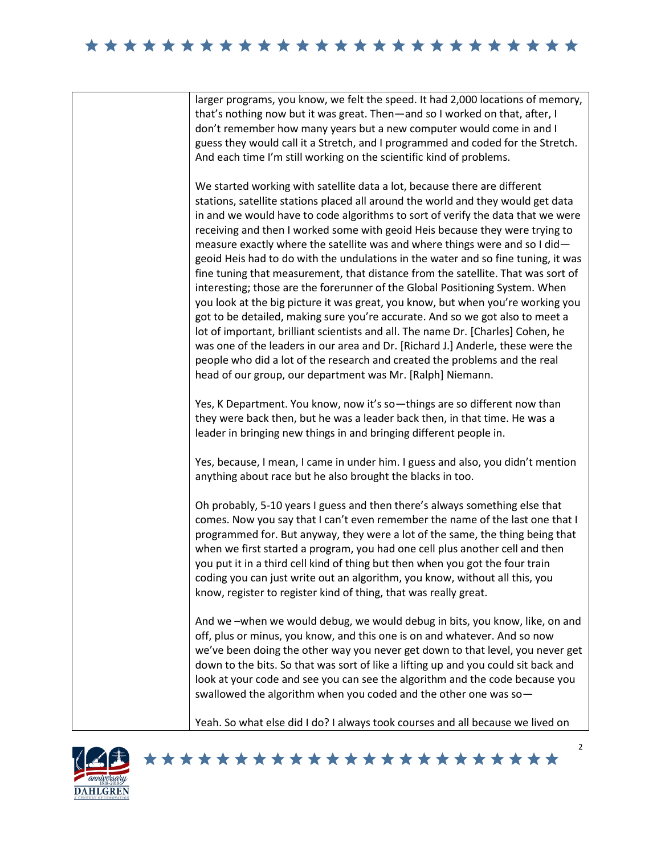## 

larger programs, you know, we felt the speed. It had 2,000 locations of memory, that's nothing now but it was great. Then—and so I worked on that, after, I don't remember how many years but a new computer would come in and I guess they would call it a Stretch, and I programmed and coded for the Stretch. And each time I'm still working on the scientific kind of problems.

We started working with satellite data a lot, because there are different stations, satellite stations placed all around the world and they would get data in and we would have to code algorithms to sort of verify the data that we were receiving and then I worked some with geoid Heis because they were trying to measure exactly where the satellite was and where things were and so I did geoid Heis had to do with the undulations in the water and so fine tuning, it was fine tuning that measurement, that distance from the satellite. That was sort of interesting; those are the forerunner of the Global Positioning System. When you look at the big picture it was great, you know, but when you're working you got to be detailed, making sure you're accurate. And so we got also to meet a lot of important, brilliant scientists and all. The name Dr. [Charles] Cohen, he was one of the leaders in our area and Dr. [Richard J.] Anderle, these were the people who did a lot of the research and created the problems and the real head of our group, our department was Mr. [Ralph] Niemann.

Yes, K Department. You know, now it's so—things are so different now than they were back then, but he was a leader back then, in that time. He was a leader in bringing new things in and bringing different people in.

Yes, because, I mean, I came in under him. I guess and also, you didn't mention anything about race but he also brought the blacks in too.

Oh probably, 5-10 years I guess and then there's always something else that comes. Now you say that I can't even remember the name of the last one that I programmed for. But anyway, they were a lot of the same, the thing being that when we first started a program, you had one cell plus another cell and then you put it in a third cell kind of thing but then when you got the four train coding you can just write out an algorithm, you know, without all this, you know, register to register kind of thing, that was really great.

And we –when we would debug, we would debug in bits, you know, like, on and off, plus or minus, you know, and this one is on and whatever. And so now we've been doing the other way you never get down to that level, you never get down to the bits. So that was sort of like a lifting up and you could sit back and look at your code and see you can see the algorithm and the code because you swallowed the algorithm when you coded and the other one was so—

Yeah. So what else did I do? I always took courses and all because we lived on

\*\*\*\*\*\*\*\*\*\*\*\*\*\*\*\*\*\*\*\*\*\*\*

2

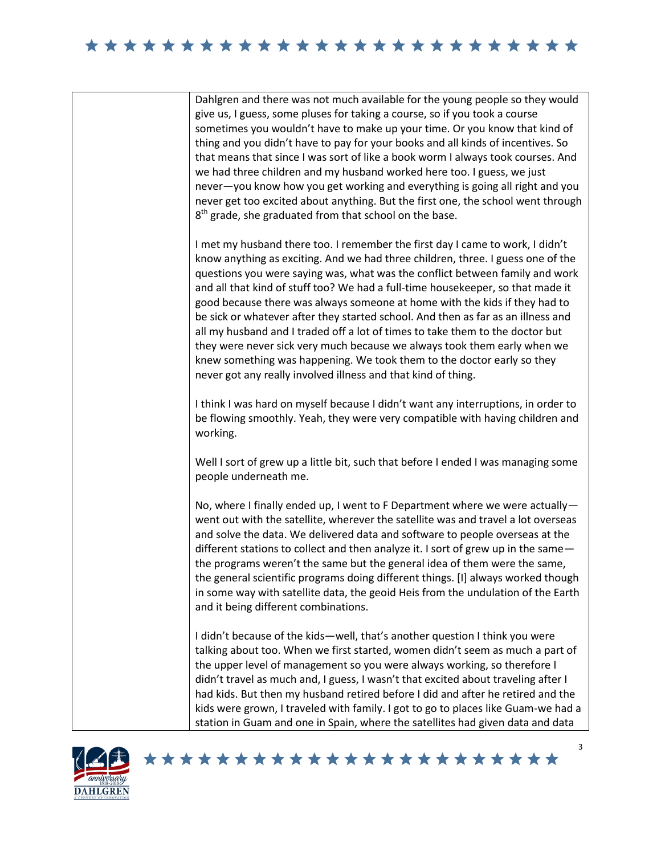## 





## \*\*\*\*\*\*\*\*\*\*\*\*\*\*\*\*\*\*\*\*\*\*\*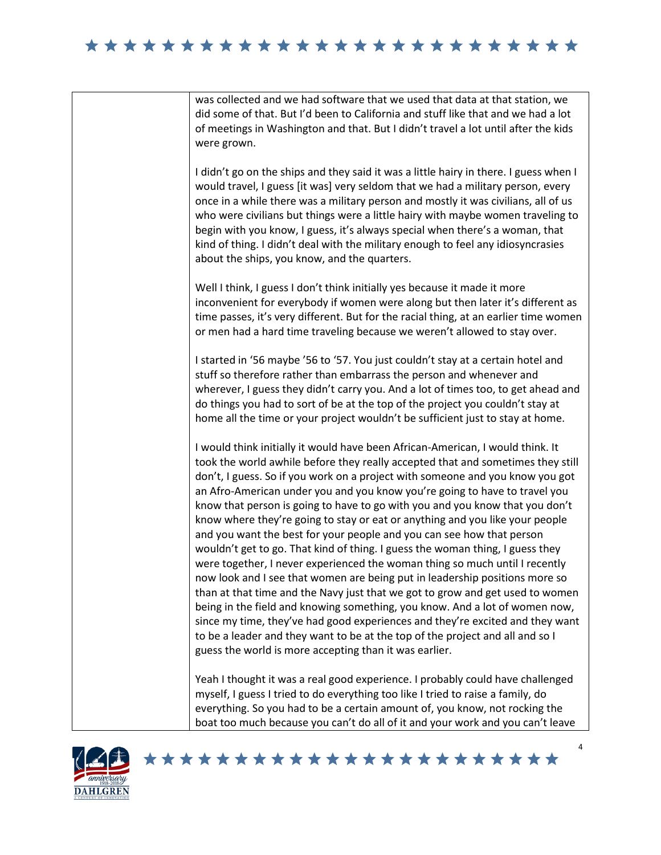



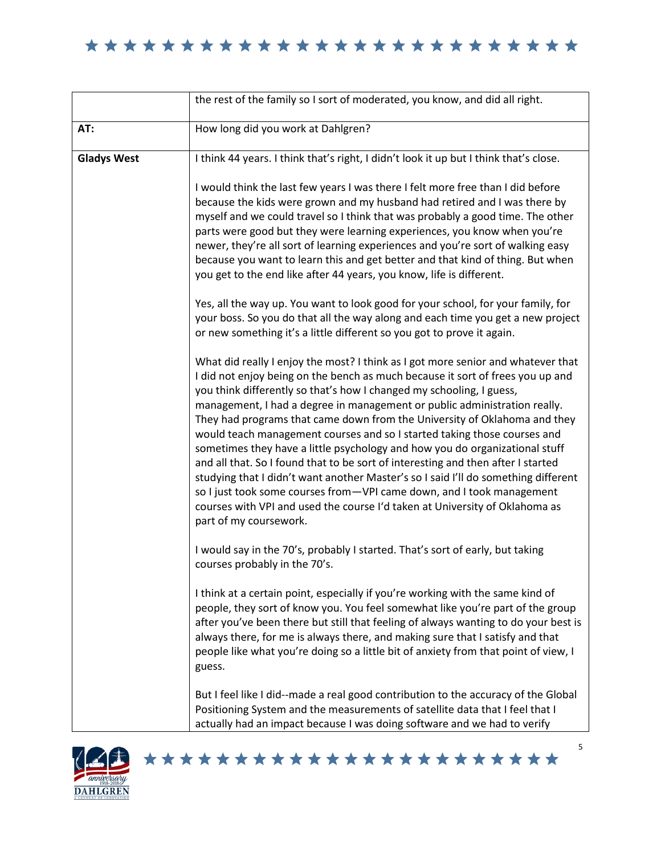|                    | the rest of the family so I sort of moderated, you know, and did all right.                                                                                                                                                                                                                                                                                                                                                                                                                                                                                                                                                                                                                                                                                                                                                                                                                                                 |
|--------------------|-----------------------------------------------------------------------------------------------------------------------------------------------------------------------------------------------------------------------------------------------------------------------------------------------------------------------------------------------------------------------------------------------------------------------------------------------------------------------------------------------------------------------------------------------------------------------------------------------------------------------------------------------------------------------------------------------------------------------------------------------------------------------------------------------------------------------------------------------------------------------------------------------------------------------------|
| AT:                | How long did you work at Dahlgren?                                                                                                                                                                                                                                                                                                                                                                                                                                                                                                                                                                                                                                                                                                                                                                                                                                                                                          |
| <b>Gladys West</b> | I think 44 years. I think that's right, I didn't look it up but I think that's close.                                                                                                                                                                                                                                                                                                                                                                                                                                                                                                                                                                                                                                                                                                                                                                                                                                       |
|                    | I would think the last few years I was there I felt more free than I did before<br>because the kids were grown and my husband had retired and I was there by<br>myself and we could travel so I think that was probably a good time. The other<br>parts were good but they were learning experiences, you know when you're<br>newer, they're all sort of learning experiences and you're sort of walking easy<br>because you want to learn this and get better and that kind of thing. But when<br>you get to the end like after 44 years, you know, life is different.                                                                                                                                                                                                                                                                                                                                                     |
|                    | Yes, all the way up. You want to look good for your school, for your family, for<br>your boss. So you do that all the way along and each time you get a new project<br>or new something it's a little different so you got to prove it again.                                                                                                                                                                                                                                                                                                                                                                                                                                                                                                                                                                                                                                                                               |
|                    | What did really I enjoy the most? I think as I got more senior and whatever that<br>I did not enjoy being on the bench as much because it sort of frees you up and<br>you think differently so that's how I changed my schooling, I guess,<br>management, I had a degree in management or public administration really.<br>They had programs that came down from the University of Oklahoma and they<br>would teach management courses and so I started taking those courses and<br>sometimes they have a little psychology and how you do organizational stuff<br>and all that. So I found that to be sort of interesting and then after I started<br>studying that I didn't want another Master's so I said I'll do something different<br>so I just took some courses from-VPI came down, and I took management<br>courses with VPI and used the course I'd taken at University of Oklahoma as<br>part of my coursework. |
|                    | I would say in the 70's, probably I started. That's sort of early, but taking<br>courses probably in the 70's.                                                                                                                                                                                                                                                                                                                                                                                                                                                                                                                                                                                                                                                                                                                                                                                                              |
|                    | I think at a certain point, especially if you're working with the same kind of<br>people, they sort of know you. You feel somewhat like you're part of the group<br>after you've been there but still that feeling of always wanting to do your best is<br>always there, for me is always there, and making sure that I satisfy and that<br>people like what you're doing so a little bit of anxiety from that point of view, I<br>guess.                                                                                                                                                                                                                                                                                                                                                                                                                                                                                   |
|                    | But I feel like I did--made a real good contribution to the accuracy of the Global<br>Positioning System and the measurements of satellite data that I feel that I<br>actually had an impact because I was doing software and we had to verify                                                                                                                                                                                                                                                                                                                                                                                                                                                                                                                                                                                                                                                                              |